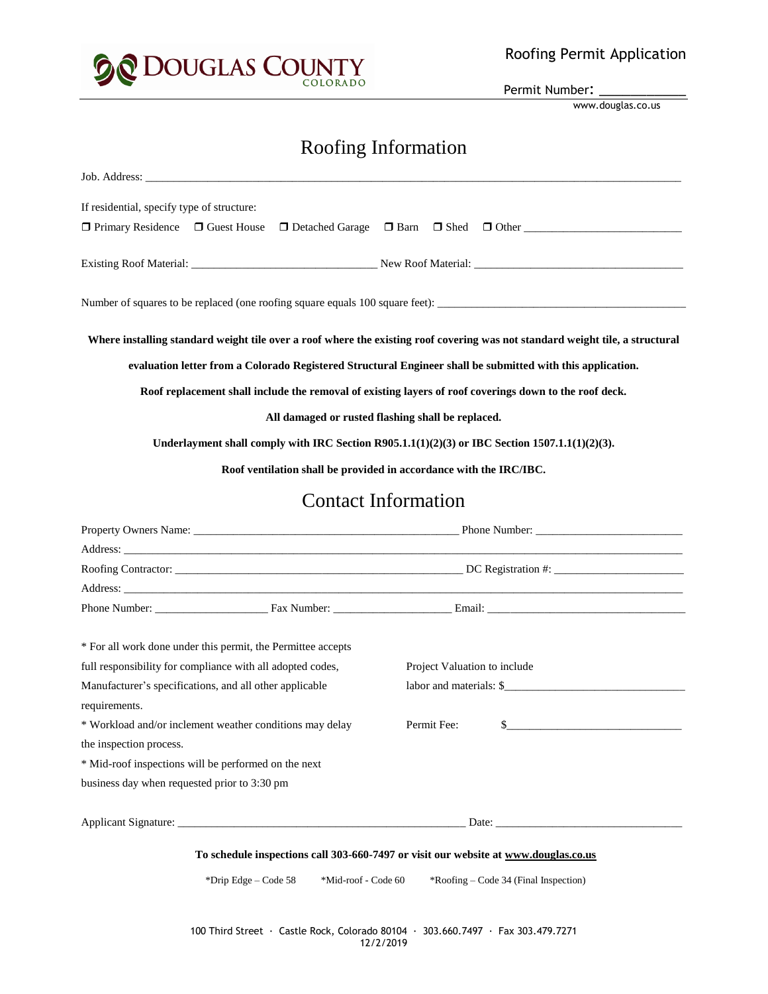

Permit Number:

www.douglas.co.us

# Roofing Information

| Job. Address:                                                                                                                                                                                                                                                                                                                                                                                                                                                                                                                                                                                                    |                                                                |                                                                                                                                                                                                                                |                                                                            |
|------------------------------------------------------------------------------------------------------------------------------------------------------------------------------------------------------------------------------------------------------------------------------------------------------------------------------------------------------------------------------------------------------------------------------------------------------------------------------------------------------------------------------------------------------------------------------------------------------------------|----------------------------------------------------------------|--------------------------------------------------------------------------------------------------------------------------------------------------------------------------------------------------------------------------------|----------------------------------------------------------------------------|
| If residential, specify type of structure:                                                                                                                                                                                                                                                                                                                                                                                                                                                                                                                                                                       |                                                                |                                                                                                                                                                                                                                |                                                                            |
| $\Box$ Primary Residence $\Box$ Guest House                                                                                                                                                                                                                                                                                                                                                                                                                                                                                                                                                                      | $\Box$ Detached Garage $\Box$ Barn $\Box$ Shed<br>$\Box$ Other |                                                                                                                                                                                                                                |                                                                            |
|                                                                                                                                                                                                                                                                                                                                                                                                                                                                                                                                                                                                                  |                                                                |                                                                                                                                                                                                                                |                                                                            |
|                                                                                                                                                                                                                                                                                                                                                                                                                                                                                                                                                                                                                  |                                                                |                                                                                                                                                                                                                                |                                                                            |
| Where installing standard weight tile over a roof where the existing roof covering was not standard weight tile, a structural<br>evaluation letter from a Colorado Registered Structural Engineer shall be submitted with this application.<br>Roof replacement shall include the removal of existing layers of roof coverings down to the roof deck.<br>All damaged or rusted flashing shall be replaced.<br>Underlayment shall comply with IRC Section R905.1.1(1)(2)(3) or IBC Section 1507.1.1(1)(2)(3).<br>Roof ventilation shall be provided in accordance with the IRC/IBC.<br><b>Contact Information</b> |                                                                |                                                                                                                                                                                                                                |                                                                            |
|                                                                                                                                                                                                                                                                                                                                                                                                                                                                                                                                                                                                                  |                                                                |                                                                                                                                                                                                                                | Property Owners Name: Phone Number:                                        |
|                                                                                                                                                                                                                                                                                                                                                                                                                                                                                                                                                                                                                  |                                                                |                                                                                                                                                                                                                                | the control of the control of the control of the control of the control of |
|                                                                                                                                                                                                                                                                                                                                                                                                                                                                                                                                                                                                                  |                                                                |                                                                                                                                                                                                                                |                                                                            |
|                                                                                                                                                                                                                                                                                                                                                                                                                                                                                                                                                                                                                  |                                                                | Address: No. 2014. The contract of the contract of the contract of the contract of the contract of the contract of the contract of the contract of the contract of the contract of the contract of the contract of the contrac |                                                                            |
|                                                                                                                                                                                                                                                                                                                                                                                                                                                                                                                                                                                                                  |                                                                |                                                                                                                                                                                                                                |                                                                            |
|                                                                                                                                                                                                                                                                                                                                                                                                                                                                                                                                                                                                                  |                                                                | * For all work done under this permit, the Permittee accepts                                                                                                                                                                   |                                                                            |
|                                                                                                                                                                                                                                                                                                                                                                                                                                                                                                                                                                                                                  |                                                                | full responsibility for compliance with all adopted codes,                                                                                                                                                                     | Project Valuation to include                                               |
| Manufacturer's specifications, and all other applicable                                                                                                                                                                                                                                                                                                                                                                                                                                                                                                                                                          | labor and materials: \$                                        |                                                                                                                                                                                                                                |                                                                            |
| requirements.                                                                                                                                                                                                                                                                                                                                                                                                                                                                                                                                                                                                    |                                                                |                                                                                                                                                                                                                                |                                                                            |
| * Workload and/or inclement weather conditions may delay                                                                                                                                                                                                                                                                                                                                                                                                                                                                                                                                                         | Permit Fee:<br>$\mathcal{L}_{-}$                               |                                                                                                                                                                                                                                |                                                                            |
| the inspection process.                                                                                                                                                                                                                                                                                                                                                                                                                                                                                                                                                                                          |                                                                |                                                                                                                                                                                                                                |                                                                            |
| * Mid-roof inspections will be performed on the next                                                                                                                                                                                                                                                                                                                                                                                                                                                                                                                                                             |                                                                |                                                                                                                                                                                                                                |                                                                            |
| business day when requested prior to 3:30 pm                                                                                                                                                                                                                                                                                                                                                                                                                                                                                                                                                                     |                                                                |                                                                                                                                                                                                                                |                                                                            |
|                                                                                                                                                                                                                                                                                                                                                                                                                                                                                                                                                                                                                  |                                                                |                                                                                                                                                                                                                                |                                                                            |
| To schedule inspections call 303-660-7497 or visit our website at www.douglas.co.us                                                                                                                                                                                                                                                                                                                                                                                                                                                                                                                              |                                                                |                                                                                                                                                                                                                                |                                                                            |
| *Drip Edge - Code 58<br>*Mid-roof - Code 60<br>$*$ Roofing – Code 34 (Final Inspection)                                                                                                                                                                                                                                                                                                                                                                                                                                                                                                                          |                                                                |                                                                                                                                                                                                                                |                                                                            |
| 100 Third Street · Castle Rock, Colorado 80104 · 303.660.7497 · Fax 303.479.7271<br>12/2/2019                                                                                                                                                                                                                                                                                                                                                                                                                                                                                                                    |                                                                |                                                                                                                                                                                                                                |                                                                            |